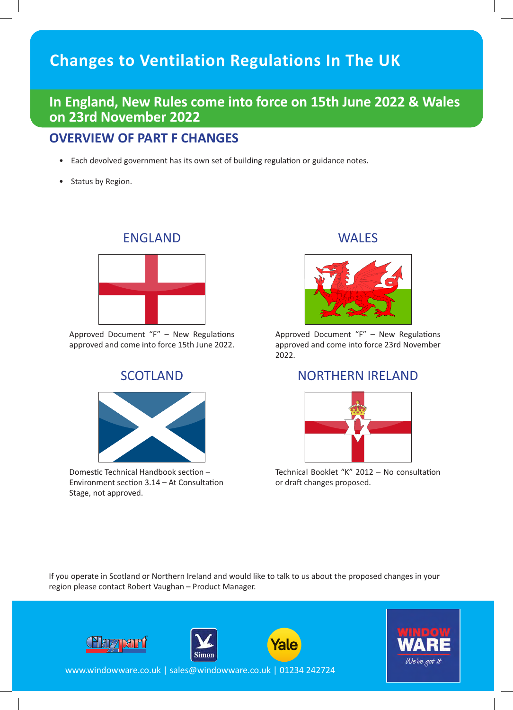# **Changes to Ventilation Regulations In The UK**

## **In England, New Rules come into force on 15th June 2022 & Wales on 23rd November 2022**

#### **OVERVIEW OF PART F CHANGES**

- Each devolved government has its own set of building regulation or guidance notes.
- Status by Region.



Approved Document "F" – New Regulations approved and come into force 15th June 2022.



Domestic Technical Handbook section – Environment section 3.14 – At Consultation Stage, not approved.

#### ENGLAND WALES



Approved Document "F" – New Regulations approved and come into force 23rd November 2022.

#### SCOTLAND NORTHERN IRELAND



Technical Booklet "K" 2012 – No consultation or draft changes proposed.

If you operate in Scotland or Northern Ireland and would like to talk to us about the proposed changes in your region please contact Robert Vaughan – Product Manager.







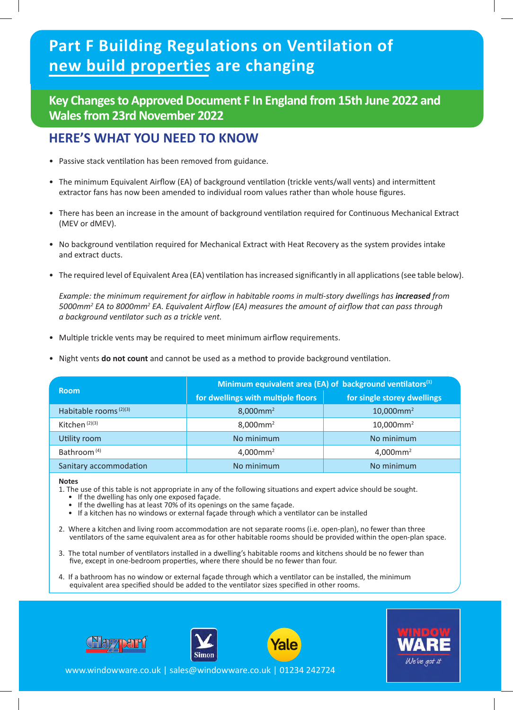# **Part F Building Regulations on Ventilation of new build properties are changing**

#### **Key Changes to Approved Document F In England from 15th June 2022 and Wales from 23rd November 2022**

## **HERE'S WHAT YOU NEED TO KNOW**

- Passive stack ventilation has been removed from guidance.
- • The minimum Equivalent Airflow (EA) of background ventilation (trickle vents/wall vents) and intermittent extractor fans has now been amended to individual room values rather than whole house figures.
- There has been an increase in the amount of background ventilation required for Continuous Mechanical Extract (MEV or dMEV).
- • No background ventilation required for Mechanical Extract with Heat Recovery as the system provides intake and extract ducts.
- The required level of Equivalent Area (EA) ventilation has increased significantly in all applications (see table below).

 *Example: the minimum requirement for airflow in habitable rooms in multi-story dwellings has increased from 5000mm2 EA to 8000mm2 EA. Equivalent Airflow (EA) measures the amount of airflow that can pass through a background ventilator such as a trickle vent.*

- Multiple trickle vents may be required to meet minimum airflow requirements.
- Night vents **do not count** and cannot be used as a method to provide background ventilation.

| <b>Room</b>                                                                                                                                                                                                                                                                                                                                                                                                                                                                                                                                                                                                                                                                                                                                                                                                                                                                                                                             | Minimum equivalent area (EA) of background ventilators <sup>(1)</sup> |                             |  |
|-----------------------------------------------------------------------------------------------------------------------------------------------------------------------------------------------------------------------------------------------------------------------------------------------------------------------------------------------------------------------------------------------------------------------------------------------------------------------------------------------------------------------------------------------------------------------------------------------------------------------------------------------------------------------------------------------------------------------------------------------------------------------------------------------------------------------------------------------------------------------------------------------------------------------------------------|-----------------------------------------------------------------------|-----------------------------|--|
|                                                                                                                                                                                                                                                                                                                                                                                                                                                                                                                                                                                                                                                                                                                                                                                                                                                                                                                                         | for dwellings with multiple floors                                    | for single storey dwellings |  |
| Habitable rooms <sup>(2)(3)</sup>                                                                                                                                                                                                                                                                                                                                                                                                                                                                                                                                                                                                                                                                                                                                                                                                                                                                                                       | $8,000$ mm <sup>2</sup>                                               | $10,000$ mm <sup>2</sup>    |  |
| Kitchen <sup>(2)(3)</sup>                                                                                                                                                                                                                                                                                                                                                                                                                                                                                                                                                                                                                                                                                                                                                                                                                                                                                                               | $8,000$ mm <sup>2</sup>                                               | $10,000$ mm <sup>2</sup>    |  |
| Utility room                                                                                                                                                                                                                                                                                                                                                                                                                                                                                                                                                                                                                                                                                                                                                                                                                                                                                                                            | No minimum                                                            | No minimum                  |  |
| Bathroom <sup>(4)</sup>                                                                                                                                                                                                                                                                                                                                                                                                                                                                                                                                                                                                                                                                                                                                                                                                                                                                                                                 | $4,000$ mm <sup>2</sup>                                               | $4,000$ mm <sup>2</sup>     |  |
| Sanitary accommodation                                                                                                                                                                                                                                                                                                                                                                                                                                                                                                                                                                                                                                                                                                                                                                                                                                                                                                                  | No minimum                                                            | No minimum                  |  |
| <b>Notes</b><br>1. The use of this table is not appropriate in any of the following situations and expert advice should be sought.<br>If the dwelling has only one exposed façade.<br>$\bullet$<br>If the dwelling has at least 70% of its openings on the same façade.<br>• If a kitchen has no windows or external façade through which a ventilator can be installed<br>2. Where a kitchen and living room accommodation are not separate rooms (i.e. open-plan), no fewer than three<br>ventilators of the same equivalent area as for other habitable rooms should be provided within the open-plan space.<br>3. The total number of ventilators installed in a dwelling's habitable rooms and kitchens should be no fewer than<br>five, except in one-bedroom properties, where there should be no fewer than four.<br>4. If a bathroom has no window or external façade through which a ventilator can be installed, the minimum |                                                                       |                             |  |
| equivalent area specified should be added to the ventilator sizes specified in other rooms.                                                                                                                                                                                                                                                                                                                                                                                                                                                                                                                                                                                                                                                                                                                                                                                                                                             |                                                                       |                             |  |
| <b><i><u>ale</u></i></b><br><b>Simon</b><br>We've got in<br>www.windowware.co.uk   sales@windowware.co.uk   01234 242724                                                                                                                                                                                                                                                                                                                                                                                                                                                                                                                                                                                                                                                                                                                                                                                                                |                                                                       |                             |  |

#### **Notes**

- 1. The use of this table is not appropriate in any of the following situations and expert advice should be sought.
	- If the dwelling has only one exposed façade.
	- If the dwelling has at least 70% of its openings on the same façade.
	- If a kitchen has no windows or external façade through which a ventilator can be installed
- 2. Where a kitchen and living room accommodation are not separate rooms (i.e. open-plan), no fewer than three ventilators of the same equivalent area as for other habitable rooms should be provided within the open-plan space.
- 3. The total number of ventilators installed in a dwelling's habitable rooms and kitchens should be no fewer than five, except in one-bedroom properties, where there should be no fewer than four.
- 4. If a bathroom has no window or external façade through which a ventilator can be installed, the minimum equivalent area specified should be added to the ventilator sizes specified in other rooms.







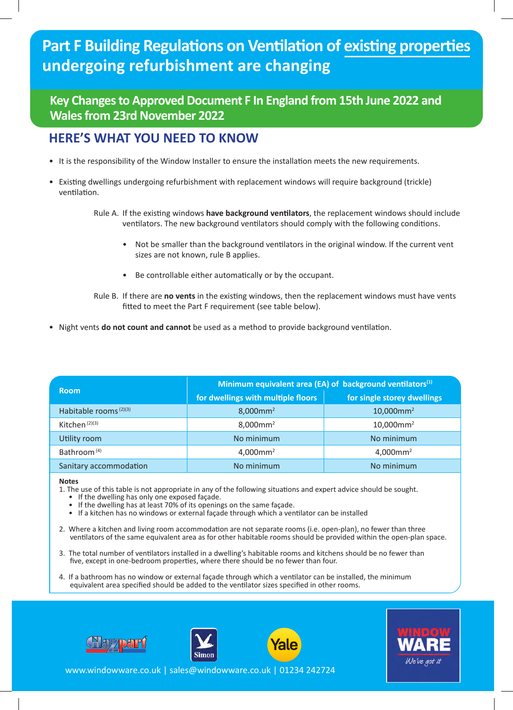# **Part F Building Regulations on Ventilation of existing properties undergoing refurbishment are changing**

#### **Key Changes to Approved Document F In England from 15th June 2022 and Wales from 23rd November 2022**

#### **HERE'S WHAT YOU NEED TO KNOW**

- • It is the responsibility of the Window Installer to ensure the installation meets the new requirements.
- • Existing dwellings undergoing refurbishment with replacement windows will require background (trickle) ventilation.

 Rule A. If the existing windows **have background ventilators**, the replacement windows should include ventilators. The new background ventilators should comply with the following conditions.

- Not be smaller than the background ventilators in the original window. If the current vent sizes are not known, rule B applies.
- • Be controllable either automatically or by the occupant.
- Rule B. If there are **no vents** in the existing windows, then the replacement windows must have vents fitted to meet the Part F requirement (see table below).
- Night vents **do not count and cannot** be used as a method to provide background ventilation.

| <b>Room</b>                       | Minimum equivalent area (EA) of background ventilators $(1)$ |                             |
|-----------------------------------|--------------------------------------------------------------|-----------------------------|
|                                   | for dwellings with multiple floors                           | for single storey dwellings |
| Habitable rooms <sup>(2)(3)</sup> | $8,000$ mm <sup>2</sup>                                      | $10,000$ mm <sup>2</sup>    |
| Kitchen $(2)(3)$                  | $8,000$ mm <sup>2</sup>                                      | $10,000$ mm <sup>2</sup>    |
| Utility room                      | No minimum                                                   | No minimum                  |
| Bathroom <sup>(4)</sup>           | $4,000$ mm <sup>2</sup>                                      | $4,000$ mm <sup>2</sup>     |
| Sanitary accommodation            | No minimum                                                   | No minimum                  |

#### **Notes**

- 1. The use of this table is not appropriate in any of the following situations and expert advice should be sought.
	- If the dwelling has only one exposed façade.
	- If the dwelling has at least 70% of its openings on the same façade.
	- • If a kitchen has no windows or external façade through which a ventilator can be installed
- 2. Where a kitchen and living room accommodation are not separate rooms (i.e. open-plan), no fewer than three ventilators of the same equivalent area as for other habitable rooms should be provided within the open-plan space.
- 3. The total number of ventilators installed in a dwelling's habitable rooms and kitchens should be no fewer than five, except in one-bedroom properties, where there should be no fewer than four.
- 4. If a bathroom has no window or external façade through which a ventilator can be installed, the minimum equivalent area specified should be added to the ventilator sizes specified in other rooms.